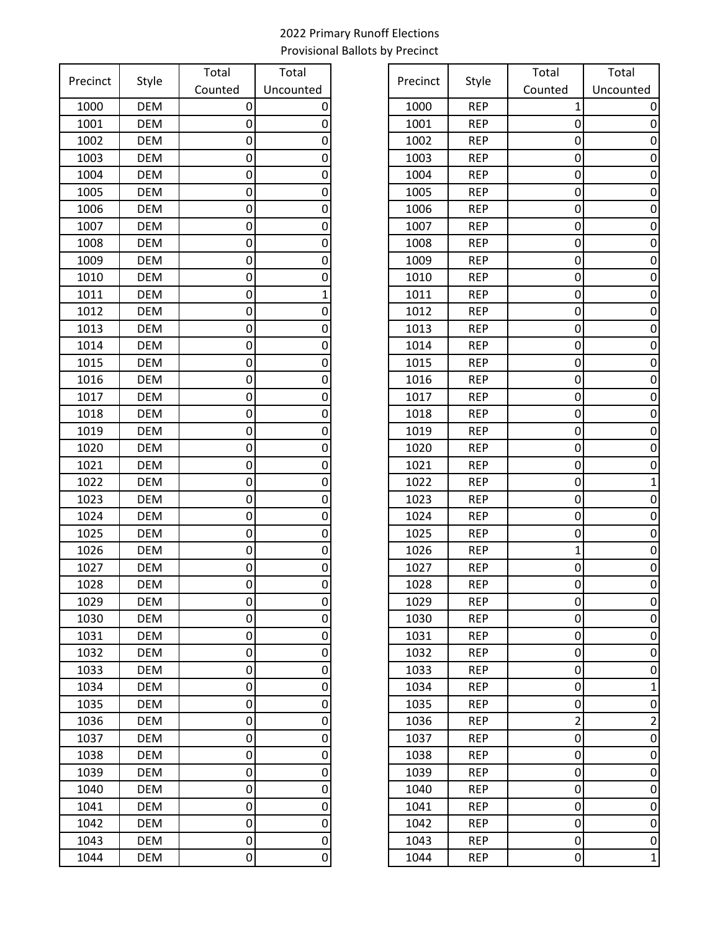| Precinct     | Style             | Total   | Total          |
|--------------|-------------------|---------|----------------|
|              |                   | Counted | Uncounted      |
| 1000         | <b>DEM</b>        | 0       | 0              |
| 1001         | <b>DEM</b>        | 0       | 0              |
| 1002         | <b>DEM</b>        | 0       | 0              |
| 1003         | <b>DEM</b>        | 0       | 0              |
| 1004         | <b>DEM</b>        | 0       | 0              |
| 1005         | <b>DEM</b>        | 0       | 0              |
| 1006         | <b>DEM</b>        | 0       | 0              |
| 1007         | <b>DEM</b>        | 0       | 0              |
| 1008         | <b>DEM</b>        | 0       | 0              |
| 1009         | <b>DEM</b>        | 0       | 0              |
| 1010         | <b>DEM</b>        | 0       | 0              |
| 1011         | <b>DEM</b>        | 0       | $\overline{1}$ |
| 1012         | <b>DEM</b>        | 0       | 0              |
| 1013         | <b>DEM</b>        | 0       | 0              |
| 1014         | <b>DEM</b>        | 0       | 0              |
| 1015         | <b>DEM</b>        | 0       | 0              |
| 1016         | <b>DEM</b>        | 0       | 0              |
| 1017         | <b>DEM</b>        | 0       | 0              |
| 1018         | <b>DEM</b>        | 0       | 0              |
| 1019         | <b>DEM</b>        | 0       | 0              |
| 1020         | <b>DEM</b>        | 0       | 0              |
| 1021         | <b>DEM</b>        | 0       | 0              |
| 1022         | <b>DEM</b>        | 0       | 0              |
| 1023         | <b>DEM</b>        | 0       | 0              |
| 1024         | <b>DEM</b>        | 0       | 0              |
| 1025         | <b>DEM</b>        | 0       | 0              |
| 1026         | <b>DEM</b>        | 0       | 0              |
| 1027         | <b>DEM</b>        | 0       | 0              |
| 1028         | <b>DEM</b>        | 0       | 0              |
| 1029         | <b>DEM</b>        | 0       | 0              |
| 1030         | <b>DEM</b>        | 0       | 0              |
| 1031         | <b>DEM</b>        | 0       | 0              |
| 1032<br>1033 | <b>DEM</b>        | 0       | 0<br>0         |
|              | <b>DEM</b>        | 0       | 0              |
| 1034<br>1035 | DEM<br><b>DEM</b> | 0       | 0              |
| 1036         | <b>DEM</b>        | 0       | 0              |
| 1037         | <b>DEM</b>        | 0<br>0  | 0              |
| 1038         | <b>DEM</b>        | 0       | 0              |
| 1039         | DEM               | 0       | 0              |
| 1040         | <b>DEM</b>        | 0       | 0              |
| 1041         | <b>DEM</b>        | 0       | 0              |
| 1042         | <b>DEM</b>        | 0       | 0              |
| 1043         | <b>DEM</b>        | 0       | 0              |
| 1044         | DEM               | 0       | 0              |
|              |                   |         |                |

| recinct<br>Style | Total      | Total               | Precinct  | Style | Total      | Total          |             |
|------------------|------------|---------------------|-----------|-------|------------|----------------|-------------|
|                  |            | Counted             | Uncounted |       |            | Counted        | Uncounted   |
| 1000             | <b>DEM</b> | 0                   | 0         | 1000  | <b>REP</b> | $\mathbf{1}$   |             |
| 1001             | <b>DEM</b> | 0                   | 0         | 1001  | <b>REP</b> | 0              |             |
| 1002             | <b>DEM</b> | 0                   | 0         | 1002  | <b>REP</b> | 0              |             |
| 1003             | <b>DEM</b> | 0                   | 0         | 1003  | <b>REP</b> | 0              | 0           |
| 1004             | DEM        | 0                   | 0         | 1004  | <b>REP</b> | 0              | 0           |
| 1005             | <b>DEM</b> | 0                   | 0         | 1005  | <b>REP</b> | 0              | 0           |
| 1006             | <b>DEM</b> | 0                   | 0         | 1006  | <b>REP</b> | 0              | 0           |
| 1007             | <b>DEM</b> | 0                   | 0         | 1007  | <b>REP</b> | 0              | 0           |
| 1008             | <b>DEM</b> | 0                   | 0         | 1008  | <b>REP</b> | 0              | 0           |
| 1009             | <b>DEM</b> | 0                   | 0         | 1009  | <b>REP</b> | 0              | O           |
| 1010             | <b>DEM</b> | 0                   | 0         | 1010  | <b>REP</b> | 0              | 0           |
| 1011             | DEM        | 0                   |           | 1011  | <b>REP</b> | 0              | 0           |
| 1012             | <b>DEM</b> | 0                   | 0         | 1012  | <b>REP</b> | 0              | 0           |
| 1013             | <b>DEM</b> | 0                   | 0         | 1013  | <b>REP</b> | 0              | 0           |
| 1014             | <b>DEM</b> | 0                   | 0         | 1014  | <b>REP</b> | 0              | 0           |
| 1015             | <b>DEM</b> | 0                   | 0         | 1015  | <b>REP</b> | 0              | 0           |
| 1016             | <b>DEM</b> | 0                   | 0         | 1016  | <b>REP</b> | 0              | 0           |
| 1017             | <b>DEM</b> | 0                   | 0         | 1017  | <b>REP</b> | 0              | 0           |
| 1018             | <b>DEM</b> | 0                   | 0         | 1018  | <b>REP</b> | 0              | 0           |
| 1019             | <b>DEM</b> | 0                   | 0         | 1019  | <b>REP</b> | 0              | 0           |
| 1020             | <b>DEM</b> | 0                   | 0         | 1020  | <b>REP</b> | 0              |             |
| 1021             | <b>DEM</b> | 0                   | 0         | 1021  | <b>REP</b> | 0              | O           |
| 1022             | <b>DEM</b> | 0                   | 0         | 1022  | <b>REP</b> | 0              |             |
| 1023             | <b>DEM</b> | 0                   | 0         | 1023  | <b>REP</b> | 0              | 0           |
| 1024             | <b>DEM</b> | 0                   | 0         | 1024  | <b>REP</b> | 0              | 0           |
| 1025             | <b>DEM</b> | 0                   | 0         | 1025  | <b>REP</b> | 0              | 0           |
| 1026             | <b>DEM</b> | 0                   | 0         | 1026  | <b>REP</b> | 1              | 0           |
| 1027             | <b>DEM</b> | 0                   | 0         | 1027  | <b>REP</b> | 0              | 0           |
| 1028             | <b>DEM</b> | 0                   | 0         | 1028  | <b>REP</b> | 0              | 0           |
| 1029             | <b>DEM</b> | $\overline{0}$      | 0         | 1029  | <b>REP</b> | $\overline{0}$ | 0           |
| 1030             | <b>DEM</b> | 0                   | 0         | 1030  | <b>REP</b> | 0              | 0           |
| 1031             | <b>DEM</b> | 0                   | 0         | 1031  | <b>REP</b> | 0              | 0           |
| 1032             | DEM        | 0                   | 0         | 1032  | <b>REP</b> | 0              | 0           |
| 1033             | <b>DEM</b> | 0                   | 0         | 1033  | <b>REP</b> | 0              | 0           |
| 1034             | DEM        | 0                   | 0         | 1034  | <b>REP</b> | 0              | 1           |
| 1035             | DEM        | 0                   | 0         | 1035  | <b>REP</b> | 0              | 0           |
| 1036             | DEM        | 0                   | 0         | 1036  | <b>REP</b> | 2              | 2           |
| 1037             | DEM        | 0                   | 0         | 1037  | <b>REP</b> | 0              | 0           |
| 1038             | DEM        | 0                   | 0         | 1038  | <b>REP</b> | 0              | 0           |
| 1039             | <b>DEM</b> | 0                   | 0         | 1039  | <b>REP</b> | 0              | 0           |
| 1040             | <b>DEM</b> | 0                   | 0         | 1040  | <b>REP</b> | 0              | 0           |
| 1041             | <b>DEM</b> | 0                   | 0         | 1041  | <b>REP</b> | 0              | $\mathbf 0$ |
| 1042             | DEM        | 0                   | 0         | 1042  | <b>REP</b> | 0              | 0           |
| 1043             | <b>DEM</b> | 0                   | 0         | 1043  | <b>REP</b> | 0              | 0           |
| 1044             | DEM        | $\mathsf{O}\xspace$ | 0         | 1044  | <b>REP</b> | 0              | $\mathbf 1$ |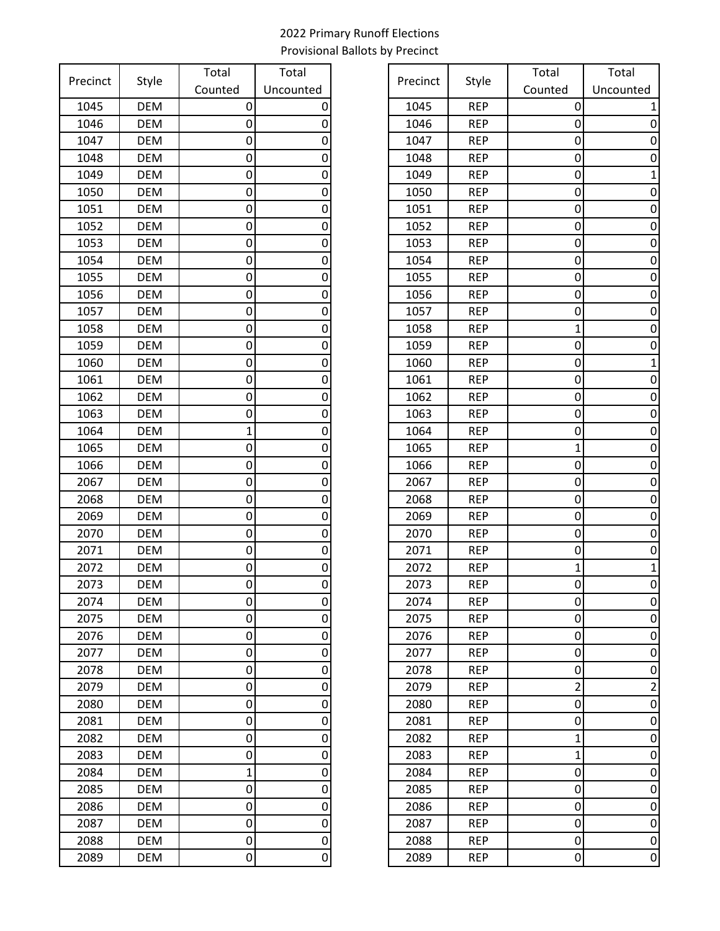| Precinct     | Style                    | Total          | Total     |
|--------------|--------------------------|----------------|-----------|
|              |                          | Counted        | Uncounted |
| 1045         | <b>DEM</b>               | 0              | 0         |
| 1046         | <b>DEM</b>               | 0              | 0         |
| 1047         | <b>DEM</b>               | 0              | 0         |
| 1048         | <b>DEM</b>               | 0              | 0         |
| 1049         | <b>DEM</b>               | 0              | 0         |
| 1050         | <b>DEM</b>               | 0              | 0         |
| 1051         | <b>DEM</b>               | 0              | 0         |
| 1052         | <b>DEM</b>               | 0              | 0         |
| 1053         | <b>DEM</b>               | 0              | 0         |
| 1054         | <b>DEM</b>               | 0              | 0         |
| 1055         | <b>DEM</b>               | 0              | 0         |
| 1056         | <b>DEM</b>               | 0              | 0         |
| 1057         | <b>DEM</b>               | 0              | 0         |
| 1058         | <b>DEM</b>               | 0              | 0         |
| 1059         | <b>DEM</b>               | 0              | 0         |
| 1060         | <b>DEM</b>               | 0              | 0         |
| 1061         | <b>DEM</b>               | 0              | 0         |
| 1062         | <b>DEM</b>               | 0              | 0         |
| 1063         | <b>DEM</b>               | 0              | 0         |
| 1064         | <b>DEM</b>               | $\overline{1}$ | 0         |
| 1065         | <b>DEM</b>               | 0              | 0         |
| 1066         | <b>DEM</b>               | 0              | 0         |
| 2067         | <b>DEM</b>               | 0              | 0         |
| 2068         | <b>DEM</b>               | 0              | 0         |
| 2069         | <b>DEM</b>               | 0              | 0         |
| 2070         | <b>DEM</b>               | 0              | 0         |
| 2071         | <b>DEM</b>               | 0              | 0         |
| 2072         | <b>DEM</b>               | 0              | 0         |
| 2073         | <b>DEM</b>               | 0              | 0         |
| 2074         | <b>DEM</b>               | 0              | 0         |
| 2075         | DEM                      | 0              | 0         |
| 2076<br>2077 | <b>DEM</b><br><b>DEM</b> | 0              | 0<br>0    |
| 2078         | <b>DEM</b>               | 0<br>0         | 0         |
| 2079         | <b>DEM</b>               | 0              | 0         |
| 2080         | DEM                      | 0              | 0         |
| 2081         | <b>DEM</b>               | 0              | 0         |
| 2082         | <b>DEM</b>               | 0              | 0         |
| 2083         | <b>DEM</b>               | 0              | 0         |
| 2084         | DEM                      | 1              | 0         |
| 2085         | <b>DEM</b>               | 0              | 0         |
| 2086         | <b>DEM</b>               | 0              | 0         |
| 2087         | <b>DEM</b>               | 0              | 0         |
| 2088         | DEM                      | 0              | 0         |
| 2089         | DEM                      | 0              | 0         |
|              |                          |                |           |

| recinct<br>Style | Total                    | Total   | Precinct  | Style        | Total                    | Total                   |                     |
|------------------|--------------------------|---------|-----------|--------------|--------------------------|-------------------------|---------------------|
|                  |                          | Counted | Uncounted |              |                          | Counted                 | Uncounted           |
| 1045             | <b>DEM</b>               | 0       | 0         | 1045         | <b>REP</b>               | 0                       |                     |
| 1046             | <b>DEM</b>               | 0       | 0         | 1046         | <b>REP</b>               | 0                       |                     |
| 1047             | <b>DEM</b>               | 0       | 0         | 1047         | <b>REP</b>               | 0                       |                     |
| 1048             | <b>DEM</b>               | 0       | 0         | 1048         | <b>REP</b>               | 0                       | 0                   |
| 1049             | DEM                      | 0       | 0         | 1049         | <b>REP</b>               | 0                       |                     |
| 1050             | <b>DEM</b>               | 0       | 0         | 1050         | <b>REP</b>               | 0                       | 0                   |
| 1051             | <b>DEM</b>               | 0       | 0         | 1051         | <b>REP</b>               | 0                       | 0                   |
| 1052             | <b>DEM</b>               | 0       | 0         | 1052         | <b>REP</b>               | 0                       | 0                   |
| 1053             | <b>DEM</b>               | 0       | 0         | 1053         | <b>REP</b>               | 0                       | 0                   |
| 1054             | <b>DEM</b>               | 0       | 0         | 1054         | <b>REP</b>               | 0                       | O                   |
| 1055             | <b>DEM</b>               | 0       | 0         | 1055         | <b>REP</b>               | 0                       | 0                   |
| 1056             | DEM                      | 0       | 0         | 1056         | <b>REP</b>               | 0                       | 0                   |
| 1057             | <b>DEM</b>               | 0       | 0         | 1057         | <b>REP</b>               | 0                       | 0                   |
| 1058             | <b>DEM</b>               | 0       | 0         | 1058         | <b>REP</b>               | 1                       | 0                   |
| 1059             | <b>DEM</b>               | 0       | 0         | 1059         | <b>REP</b>               | 0                       |                     |
| 1060             | <b>DEM</b>               | 0       | 0         | 1060         | <b>REP</b>               | 0                       |                     |
| 1061             | <b>DEM</b>               | 0       | 0         | 1061         | <b>REP</b>               | 0                       | 0                   |
| 1062             | <b>DEM</b>               | 0       | 0         | 1062         | <b>REP</b>               | 0                       | 0                   |
| 1063             | <b>DEM</b>               | 0       | 0         | 1063         | <b>REP</b>               | 0                       | 0                   |
| 1064             | <b>DEM</b>               |         | 0         | 1064         | <b>REP</b>               | 0                       | 0                   |
| 1065             | <b>DEM</b>               | 0       | 0         | 1065         | <b>REP</b>               | 1                       |                     |
| 1066             | <b>DEM</b>               | 0       | 0         | 1066         | <b>REP</b>               | 0                       | 0                   |
| 2067             | <b>DEM</b>               | 0       | 0         | 2067         | <b>REP</b>               | 0                       | 0                   |
| 2068             | <b>DEM</b>               | 0       | 0         | 2068         | <b>REP</b>               | 0                       | 0                   |
| 2069             | <b>DEM</b>               | 0       | 0         | 2069         | <b>REP</b>               | 0                       | 0                   |
| 2070             | <b>DEM</b>               | 0       | 0         | 2070         | <b>REP</b>               | 0                       | 0                   |
| 2071             | <b>DEM</b>               | 0       | 0         | 2071         | <b>REP</b>               | 0                       | O                   |
| 2072             | <b>DEM</b>               | 0       | 0         | 2072         | <b>REP</b>               | 1                       |                     |
| 2073             | <b>DEM</b>               | 0       | 0         | 2073         | <b>REP</b>               | 0                       | 0                   |
| 2074             | <b>DEM</b>               | 0       | 0         | 2074         | <b>REP</b>               | $\overline{0}$          | 0                   |
| 2075             | <b>DEM</b>               | 0       | 0         | 2075         | <b>REP</b>               | 0                       | 0                   |
| 2076             | <b>DEM</b>               | 0       | 0         | 2076         | <b>REP</b>               | 0                       | 0                   |
| 2077             | <b>DEM</b>               | 0       | 0         | 2077         | <b>REP</b>               | 0                       | 0                   |
| 2078             | <b>DEM</b>               | 0       | 0         | 2078         | <b>REP</b>               | 0                       | 0                   |
| 2079             | <b>DEM</b>               | 0       | 0         | 2079         | <b>REP</b>               | $\overline{\mathbf{c}}$ | 2                   |
| 2080             | <b>DEM</b>               | 0       | 0         | 2080         | <b>REP</b>               | 0                       | 0                   |
| 2081             | <b>DEM</b>               | 0       | 0         | 2081         | <b>REP</b>               | 0                       | 0                   |
| 2082             | <b>DEM</b>               | 0       | 0         | 2082         | <b>REP</b>               | 1                       | 0                   |
| 2083             | <b>DEM</b>               | 0       | 0         | 2083         | <b>REP</b>               | 1                       | 0                   |
| 2084             | <b>DEM</b>               | 1       | 0         | 2084         | <b>REP</b>               | 0                       | 0                   |
| 2085             | <b>DEM</b>               | 0       | 0         | 2085         | <b>REP</b>               | 0                       | 0                   |
| 2086             | <b>DEM</b><br><b>DEM</b> | 0<br>0  | 0         | 2086<br>2087 | <b>REP</b><br><b>REP</b> | 0<br>0                  | 0                   |
| 2087             | <b>DEM</b>               | 0       | 0         | 2088         | <b>REP</b>               |                         | 0                   |
| 2088<br>2089     | <b>DEM</b>               | 0       | 0<br>0    | 2089         | <b>REP</b>               | 0<br>0                  | 0<br>$\overline{0}$ |
|                  |                          |         |           |              |                          |                         |                     |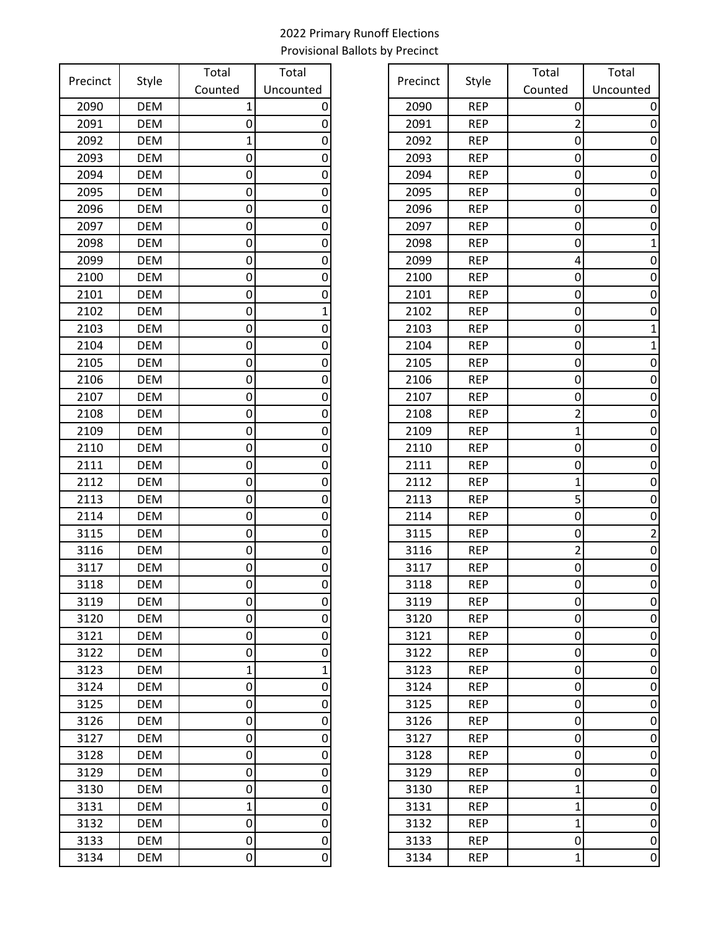| Precinct |            | Total   | Total          |
|----------|------------|---------|----------------|
|          | Style      | Counted | Uncounted      |
| 2090     | <b>DEM</b> | 1       | 0              |
| 2091     | <b>DEM</b> | 0       | 0              |
| 2092     | <b>DEM</b> | 1       | 0              |
| 2093     | <b>DEM</b> | 0       | 0              |
| 2094     | <b>DEM</b> | 0       | 0              |
| 2095     | <b>DEM</b> | 0       | 0              |
| 2096     | <b>DEM</b> | 0       | 0              |
| 2097     | <b>DEM</b> | 0       | 0              |
| 2098     | <b>DEM</b> | 0       | 0              |
| 2099     | <b>DEM</b> | 0       | 0              |
| 2100     | <b>DEM</b> | 0       | 0              |
| 2101     | <b>DEM</b> | 0       | 0              |
| 2102     | <b>DEM</b> | 0       | $\mathbf 1$    |
| 2103     | <b>DEM</b> | 0       | 0              |
| 2104     | <b>DEM</b> | 0       | 0              |
| 2105     | <b>DEM</b> | 0       | 0              |
| 2106     | <b>DEM</b> | 0       | 0              |
| 2107     | <b>DEM</b> | 0       | 0              |
| 2108     | <b>DEM</b> | 0       | 0              |
| 2109     | <b>DEM</b> | 0       | 0              |
| 2110     | <b>DEM</b> | 0       | 0              |
| 2111     | <b>DEM</b> | 0       | 0              |
| 2112     | <b>DEM</b> | 0       | 0              |
| 2113     | <b>DEM</b> | 0       | 0              |
| 2114     | <b>DEM</b> | 0       | 0              |
| 3115     | <b>DEM</b> | 0       | 0              |
| 3116     | <b>DEM</b> | 0       | 0              |
| 3117     | <b>DEM</b> | 0       | 0              |
| 3118     | <b>DEM</b> | 0       | 0              |
| 3119     | <b>DEM</b> | 0       | 0              |
| 3120     | <b>DEM</b> | 0       | 0              |
| 3121     | <b>DEM</b> | 0       | 0              |
| 3122     | <b>DEM</b> | 0       | 0              |
| 3123     | <b>DEM</b> | 1       | $\overline{1}$ |
| 3124     | <b>DEM</b> | 0       | 0              |
| 3125     | <b>DEM</b> | 0       | 0              |
| 3126     | <b>DEM</b> | 0       | 0              |
| 3127     | <b>DEM</b> | 0       | 0              |
| 3128     | <b>DEM</b> | 0       | 0              |
| 3129     | <b>DEM</b> | 0       | 0              |
| 3130     | <b>DEM</b> | 0       | 0              |
| 3131     | <b>DEM</b> | 1       | 0              |
| 3132     | <b>DEM</b> | 0       | 0              |
| 3133     | <b>DEM</b> | 0       | 0              |
| 3134     | DEM        | 0       | 0              |

| recinct | Style      | Total   | Total     | Precinct | Style      | Total          | Total          |
|---------|------------|---------|-----------|----------|------------|----------------|----------------|
|         |            | Counted | Uncounted |          |            | Counted        | Uncounted      |
| 2090    | <b>DEM</b> |         | 0         | 2090     | <b>REP</b> | 0              |                |
| 2091    | <b>DEM</b> | 0       | 0         | 2091     | <b>REP</b> | 2              |                |
| 2092    | <b>DEM</b> |         | 0         | 2092     | <b>REP</b> | 0              |                |
| 2093    | <b>DEM</b> | 0       | 0         | 2093     | <b>REP</b> | 0              | 0              |
| 2094    | <b>DEM</b> | 0       | 0         | 2094     | <b>REP</b> | 0              | O              |
| 2095    | <b>DEM</b> | 0       | 0         | 2095     | <b>REP</b> | 0              | 0              |
| 2096    | <b>DEM</b> | 0       | 0         | 2096     | <b>REP</b> | 0              | 0              |
| 2097    | <b>DEM</b> | 0       | 0         | 2097     | <b>REP</b> | 0              | 0              |
| 2098    | <b>DEM</b> | 0       | 0         | 2098     | <b>REP</b> | 0              |                |
| 2099    | <b>DEM</b> | 0       | 0         | 2099     | <b>REP</b> | 4              |                |
| 2100    | <b>DEM</b> | 0       | 0         | 2100     | <b>REP</b> | 0              | 0              |
| 2101    | DEM        | 0       | 0         | 2101     | <b>REP</b> | 0              | 0              |
| 2102    | <b>DEM</b> | 0       |           | 2102     | <b>REP</b> | 0              | 0              |
| 2103    | <b>DEM</b> | 0       | 0         | 2103     | <b>REP</b> | 0              |                |
| 2104    | <b>DEM</b> | 0       | 0         | 2104     | <b>REP</b> | 0              |                |
| 2105    | <b>DEM</b> | 0       |           | 2105     | <b>REP</b> | 0              |                |
| 2106    | <b>DEM</b> | 0       | 0         | 2106     | <b>REP</b> | 0              |                |
| 2107    | <b>DEM</b> | 0       | 0         | 2107     | <b>REP</b> | 0              | 0              |
| 2108    | <b>DEM</b> | 0       | 0         | 2108     | <b>REP</b> | 2              | 0              |
| 2109    | <b>DEM</b> | 0       | 0         | 2109     | <b>REP</b> | 1              | 0              |
| 2110    | <b>DEM</b> | 0       | 0         | 2110     | <b>REP</b> | 0              | 0              |
| 2111    | <b>DEM</b> | 0       | 0         | 2111     | <b>REP</b> | 0              | 0              |
| 2112    | <b>DEM</b> | 0       | 0         | 2112     | <b>REP</b> | 1              | 0              |
| 2113    | <b>DEM</b> | 0       | 0         | 2113     | <b>REP</b> | 5              | 0              |
| 2114    | <b>DEM</b> | 0       | 0         | 2114     | <b>REP</b> | 0              | 0              |
| 3115    | <b>DEM</b> | 0       | 0         | 3115     | <b>REP</b> | 0              |                |
| 3116    | <b>DEM</b> | 0       | 0         | 3116     | <b>REP</b> | 2              | 0              |
| 3117    | <b>DEM</b> | 0       |           | 3117     | <b>REP</b> | 0              | 0              |
| 3118    | <b>DEM</b> | 0       | 0         | 3118     | <b>REP</b> | 0              | 0              |
| 3119    | <b>DEM</b> | 0       | 0         | 3119     | <b>REP</b> | $\overline{0}$ | $\mathbf 0$    |
| 3120    | DEM        | 0       | 0         | 3120     | <b>REP</b> | 0              | 0              |
| 3121    | <b>DEM</b> | 0       | 0         | 3121     | <b>REP</b> | $\mathbf 0$    | 0              |
| 3122    | DEM        | 0       | 0         | 3122     | <b>REP</b> | 0              | 0              |
| 3123    | <b>DEM</b> | 1       | 1         | 3123     | <b>REP</b> | 0              | 0              |
| 3124    | <b>DEM</b> | 0       | 0         | 3124     | <b>REP</b> | 0              | 0              |
| 3125    | <b>DEM</b> | 0       | 0         | 3125     | <b>REP</b> | 0              | 0              |
| 3126    | DEM        | 0       | 0         | 3126     | <b>REP</b> | 0              | 0              |
| 3127    | DEM        | 0       | 0         | 3127     | <b>REP</b> | 0              | 0              |
| 3128    | <b>DEM</b> | 0       | 0         | 3128     | <b>REP</b> | $\pmb{0}$      | 0              |
| 3129    | <b>DEM</b> | 0       | 0         | 3129     | <b>REP</b> | 0              | 0              |
| 3130    | <b>DEM</b> | 0       | 0         | 3130     | <b>REP</b> | 1              | 0              |
| 3131    | DEM        | 1       | 0         | 3131     | <b>REP</b> | $\mathbf{1}$   | 0              |
| 3132    | DEM        | 0       | 0         | 3132     | <b>REP</b> | 1              | 0              |
| 3133    | DEM        | 0       | 0         | 3133     | <b>REP</b> | 0              | 0              |
| 3134    | DEM        | 0       | 0         | 3134     | <b>REP</b> | $\mathbf{1}$   | $\overline{0}$ |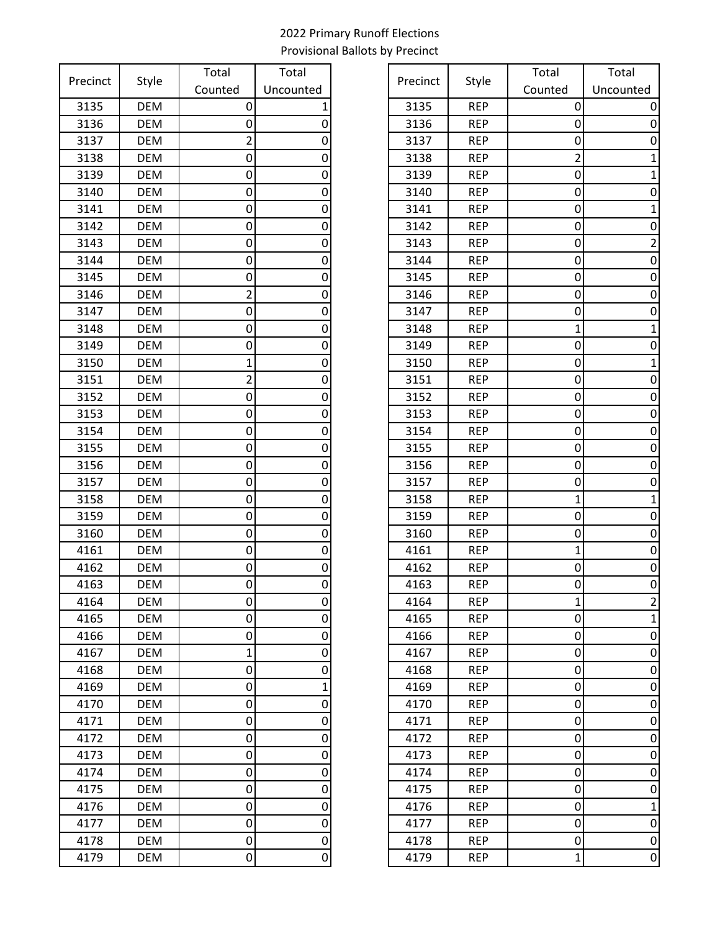| Precinct | Style      | Total          | Total          |
|----------|------------|----------------|----------------|
|          |            | Counted        | Uncounted      |
| 3135     | <b>DEM</b> | 0              | 1              |
| 3136     | <b>DEM</b> | 0              | 0              |
| 3137     | <b>DEM</b> | $\overline{2}$ | 0              |
| 3138     | <b>DEM</b> | 0              | 0              |
| 3139     | <b>DEM</b> | 0              | 0              |
| 3140     | <b>DEM</b> | 0              | 0              |
| 3141     | <b>DEM</b> | 0              | 0              |
| 3142     | <b>DEM</b> | 0              | 0              |
| 3143     | <b>DEM</b> | 0              | 0              |
| 3144     | <b>DEM</b> | 0              | 0              |
| 3145     | <b>DEM</b> | 0              | 0              |
| 3146     | <b>DEM</b> | 2              | 0              |
| 3147     | <b>DEM</b> | 0              | 0              |
| 3148     | <b>DEM</b> | 0              | 0              |
| 3149     | <b>DEM</b> | 0              | 0              |
| 3150     | <b>DEM</b> | 1              | 0              |
| 3151     | <b>DEM</b> | $\overline{2}$ | 0              |
| 3152     | <b>DEM</b> | 0              | 0              |
| 3153     | <b>DEM</b> | 0              | 0              |
| 3154     | <b>DEM</b> | 0              | 0              |
| 3155     | <b>DEM</b> | 0              | 0              |
| 3156     | <b>DEM</b> | 0              | 0              |
| 3157     | <b>DEM</b> | 0              | 0              |
| 3158     | <b>DEM</b> | 0              | 0              |
| 3159     | <b>DEM</b> | 0              | 0              |
| 3160     | <b>DEM</b> | 0              | 0              |
| 4161     | <b>DEM</b> | 0              | 0              |
| 4162     | <b>DEM</b> | 0              | 0              |
| 4163     | <b>DEM</b> | 0              | 0              |
| 4164     | <b>DEM</b> | 0              | 0              |
| 4165     | <b>DEM</b> | 0              | 0              |
| 4166     | <b>DEM</b> | 0              | 0              |
| 4167     | <b>DEM</b> | 1              | 0              |
| 4168     | <b>DEM</b> | 0              | 0              |
| 4169     | <b>DEM</b> | 0              | $\overline{1}$ |
| 4170     | <b>DEM</b> | 0              | 0              |
| 4171     | <b>DEM</b> | 0              | 0              |
| 4172     | <b>DEM</b> | 0              | 0              |
| 4173     | <b>DEM</b> | 0              | 0              |
| 4174     | <b>DEM</b> | 0              | 0              |
| 4175     | <b>DEM</b> | 0              | 0              |
| 4176     | <b>DEM</b> | 0              | 0              |
| 4177     | <b>DEM</b> | 0              | 0              |
| 4178     | <b>DEM</b> | 0              | 0              |
| 4179     | DEM        | 0              | 0              |

| recinct<br>Style | Total      | Total   | Precinct  | Style | Total      | Total   |                |
|------------------|------------|---------|-----------|-------|------------|---------|----------------|
|                  |            | Counted | Uncounted |       |            | Counted | Uncounted      |
| 3135             | <b>DEM</b> | 0       |           | 3135  | <b>REP</b> | 0       | 0              |
| 3136             | <b>DEM</b> | 0       |           | 3136  | <b>REP</b> | 0       | 0              |
| 3137             | <b>DEM</b> | 2       | 0         | 3137  | <b>REP</b> | 0       | 0              |
| 3138             | <b>DEM</b> | 0       | 0         | 3138  | <b>REP</b> | 2       |                |
| 3139             | <b>DEM</b> | 0       | 0         | 3139  | <b>REP</b> | 0       |                |
| 3140             | <b>DEM</b> | 0       | 0         | 3140  | <b>REP</b> | 0       | 0              |
| 3141             | <b>DEM</b> | 0       | 0         | 3141  | <b>REP</b> | 0       |                |
| 3142             | <b>DEM</b> | 0       | 0         | 3142  | <b>REP</b> | 0       | 0              |
| 3143             | <b>DEM</b> | 0       | 0         | 3143  | <b>REP</b> | 0       | 2              |
| 3144             | <b>DEM</b> | 0       | 0         | 3144  | <b>REP</b> | 0       | 0              |
| 3145             | <b>DEM</b> | 0       | 0         | 3145  | <b>REP</b> | 0       | 0              |
| 3146             | <b>DEM</b> | 2       | 0         | 3146  | <b>REP</b> | 0       | 0              |
| 3147             | <b>DEM</b> | 0       | 0         | 3147  | <b>REP</b> | 0       | 0              |
| 3148             | <b>DEM</b> | 0       | 0         | 3148  | <b>REP</b> | 1       |                |
| 3149             | <b>DEM</b> | 0       | 0         | 3149  | <b>REP</b> | 0       | 0              |
| 3150             | <b>DEM</b> | 1       | 0         | 3150  | <b>REP</b> | 0       |                |
| 3151             | <b>DEM</b> | 2       | 0         | 3151  | <b>REP</b> | 0       | 0              |
| 3152             | <b>DEM</b> | 0       | 0         | 3152  | <b>REP</b> | 0       | 0              |
| 3153             | <b>DEM</b> | 0       | 0         | 3153  | <b>REP</b> | 0       | 0              |
| 3154             | <b>DEM</b> | 0       | 0         | 3154  | <b>REP</b> | 0       | 0              |
| 3155             | <b>DEM</b> | 0       |           | 3155  | <b>REP</b> | 0       | 0              |
| 3156             | DEM        | 0       | 0         | 3156  | <b>REP</b> | 0       | 0              |
| 3157             | <b>DEM</b> | 0       | 0         | 3157  | <b>REP</b> | 0       | 0              |
| 3158             | <b>DEM</b> | 0       | 0         | 3158  | <b>REP</b> | 1       |                |
| 3159             | <b>DEM</b> | 0       | 0         | 3159  | <b>REP</b> | 0       | 0              |
| 3160             | <b>DEM</b> | 0       | 0         | 3160  | <b>REP</b> | 0       | 0              |
| 4161             | <b>DEM</b> | 0       | 0         | 4161  | <b>REP</b> | 1       | 0              |
| 4162             | <b>DEM</b> | 0       |           | 4162  | <b>REP</b> | 0       | 0              |
| 4163             | <b>DEM</b> | 0       | 0         | 4163  | <b>REP</b> | 0       | $\mathbf 0$    |
| 4164             | <b>DEM</b> | 0       | 0         | 4164  | <b>REP</b> | 1       | 2              |
| 4165             | <b>DEM</b> | 0       | 0         | 4165  | <b>REP</b> | 0       |                |
| 4166             | <b>DEM</b> | 0       | 0         | 4166  | <b>REP</b> | 0       | 0              |
| 4167             | DEM        | 1       | 0         | 4167  | <b>REP</b> | 0       | 0              |
| 4168             | DEM        | 0       | 0         | 4168  | <b>REP</b> | 0       | 0              |
| 4169             | <b>DEM</b> | 0       |           | 4169  | <b>REP</b> | 0       | 0              |
| 4170             | <b>DEM</b> | 0       | 0         | 4170  | <b>REP</b> | 0       | 0              |
| 4171             | DEM        | 0       | 0         | 4171  | <b>REP</b> | 0       | 0              |
| 4172             | DEM        | 0       | 0         | 4172  | <b>REP</b> | 0       | 0              |
| 4173             | DEM        | 0       | 0         | 4173  | <b>REP</b> | 0       | 0              |
| 4174             | <b>DEM</b> | 0       | 0         | 4174  | <b>REP</b> | 0       | 0              |
| 4175             | DEM        | 0       | 0         | 4175  | <b>REP</b> | 0       | 0              |
| 4176             | <b>DEM</b> | 0       | 0         | 4176  | <b>REP</b> | 0       | 1              |
| 4177             | <b>DEM</b> | 0       | 0         | 4177  | <b>REP</b> | 0       | 0              |
| 4178             | <b>DEM</b> | 0       | 0         | 4178  | <b>REP</b> | 0       | 0              |
| 4179             | DEM        | 0       | 0         | 4179  | <b>REP</b> | 1       | $\overline{0}$ |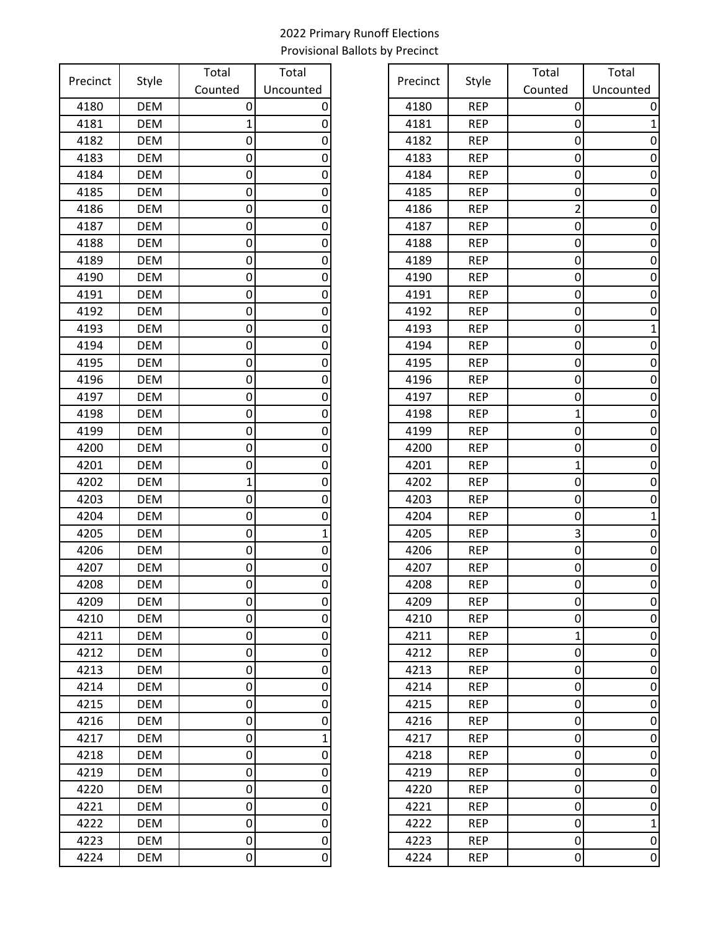| Precinct | Style      | Total   | Total       |
|----------|------------|---------|-------------|
|          |            | Counted | Uncounted   |
| 4180     | <b>DEM</b> | 0       | 0           |
| 4181     | <b>DEM</b> | 1       | 0           |
| 4182     | <b>DEM</b> | 0       | 0           |
| 4183     | <b>DEM</b> | 0       | 0           |
| 4184     | <b>DEM</b> | 0       | 0           |
| 4185     | <b>DEM</b> | 0       | 0           |
| 4186     | <b>DEM</b> | 0       | 0           |
| 4187     | <b>DEM</b> | 0       | 0           |
| 4188     | <b>DEM</b> | 0       | 0           |
| 4189     | <b>DEM</b> | 0       | 0           |
| 4190     | <b>DEM</b> | 0       | 0           |
| 4191     | <b>DEM</b> | 0       | 0           |
| 4192     | <b>DEM</b> | 0       | 0           |
| 4193     | <b>DEM</b> | 0       | 0           |
| 4194     | <b>DEM</b> | 0       | 0           |
| 4195     | <b>DEM</b> | 0       | 0           |
| 4196     | <b>DEM</b> | 0       | 0           |
| 4197     | <b>DEM</b> | 0       | 0           |
| 4198     | <b>DEM</b> | 0       | 0           |
| 4199     | <b>DEM</b> | 0       | 0           |
| 4200     | <b>DEM</b> | 0       | 0           |
| 4201     | <b>DEM</b> | 0       | 0           |
| 4202     | <b>DEM</b> | 1       | 0           |
| 4203     | <b>DEM</b> | 0       | 0           |
| 4204     | <b>DEM</b> | 0       | 0           |
| 4205     | <b>DEM</b> | 0       | $\mathbf 1$ |
| 4206     | <b>DEM</b> | 0       | 0           |
| 4207     | <b>DEM</b> | 0       | 0           |
| 4208     | <b>DEM</b> | 0       | 0           |
| 4209     | <b>DEM</b> | 0       | 0           |
| 4210     | <b>DEM</b> | 0       | 0           |
| 4211     | <b>DEM</b> | 0       | 0           |
| 4212     | <b>DEM</b> | 0       | 0           |
| 4213     | <b>DEM</b> | 0       | 0           |
| 4214     | <b>DEM</b> | 0       | 0           |
| 4215     | <b>DEM</b> | 0       | 0           |
| 4216     | <b>DEM</b> | 0       | 0           |
| 4217     | <b>DEM</b> | 0       | $\mathbf 1$ |
| 4218     | <b>DEM</b> | 0       | 0           |
| 4219     | <b>DEM</b> | 0       | 0           |
| 4220     | <b>DEM</b> | 0       | 0           |
| 4221     | <b>DEM</b> | 0       | 0           |
| 4222     | <b>DEM</b> | 0       | 0           |
| 4223     | <b>DEM</b> | 0       | 0           |
| 4224     | DEM        | 0       | 0           |

| recinct |            | Total   | Total     | Precinct |            | Total   | Total          |
|---------|------------|---------|-----------|----------|------------|---------|----------------|
|         | Style      | Counted | Uncounted |          | Style      | Counted | Uncounted      |
| 4180    | <b>DEM</b> | 0       |           | 4180     | <b>REP</b> | 0       |                |
| 4181    | DEM        |         |           | 4181     | <b>REP</b> | 0       |                |
| 4182    | <b>DEM</b> | 0       |           | 4182     | <b>REP</b> | 0       | O              |
| 4183    | <b>DEM</b> | 0       |           | 4183     | <b>REP</b> | 0       |                |
| 4184    | <b>DEM</b> | 0       |           | 4184     | <b>REP</b> | 0       | O              |
| 4185    | <b>DEM</b> | 0       |           | 4185     | <b>REP</b> | 0       | 0              |
| 4186    | <b>DEM</b> | 0       | 0         | 4186     | <b>REP</b> | 2       | 0              |
| 4187    | <b>DEM</b> | 0       | 0         | 4187     | <b>REP</b> | 0       | 0              |
| 4188    | <b>DEM</b> | 0       |           | 4188     | <b>REP</b> | 0       | 0              |
| 4189    | <b>DEM</b> | 0       |           | 4189     | <b>REP</b> | 0       | 0              |
| 4190    | <b>DEM</b> | 0       |           | 4190     | <b>REP</b> | 0       | 0              |
| 4191    | <b>DEM</b> | 0       |           | 4191     | <b>REP</b> | 0       | 0              |
| 4192    | <b>DEM</b> | 0       |           | 4192     | <b>REP</b> | 0       | 0              |
| 4193    | DEM        | 0       | O         | 4193     | <b>REP</b> | 0       |                |
| 4194    | <b>DEM</b> | 0       | O         | 4194     | <b>REP</b> | 0       | 0              |
| 4195    | <b>DEM</b> | 0       |           | 4195     | <b>REP</b> | 0       | 0              |
| 4196    | <b>DEM</b> | 0       |           | 4196     | <b>REP</b> | 0       | 0              |
| 4197    | <b>DEM</b> | 0       |           | 4197     | <b>REP</b> | 0       | 0              |
| 4198    | <b>DEM</b> | 0       |           | 4198     | <b>REP</b> | 1       | 0              |
| 4199    | <b>DEM</b> | 0       | 0         | 4199     | <b>REP</b> | 0       | 0              |
| 4200    | DEM        | 0       |           | 4200     | <b>REP</b> | 0       | 0              |
| 4201    | <b>DEM</b> | 0       | O         | 4201     | <b>REP</b> | 1       | 0              |
| 4202    | <b>DEM</b> | 1       |           | 4202     | <b>REP</b> | 0       |                |
| 4203    | <b>DEM</b> | 0       |           | 4203     | <b>REP</b> | 0       | O              |
| 4204    | <b>DEM</b> | 0       |           | 4204     | <b>REP</b> | 0       |                |
| 4205    | <b>DEM</b> | 0       |           | 4205     | <b>REP</b> | 3       | 0              |
| 4206    | <b>DEM</b> | 0       | 0         | 4206     | <b>REP</b> | 0       | 0              |
| 4207    | <b>DEM</b> | 0       |           | 4207     | <b>REP</b> | 0       | 0              |
| 4208    | <b>DEM</b> | 0       | 0         | 4208     | <b>REP</b> | 0       | 0              |
| 4209    | <b>DEM</b> | 0       | 0         | 4209     | <b>REP</b> | 0       | 0              |
| 4210    | <b>DEM</b> | 0       |           | 4210     | <b>REP</b> | 0       | 0              |
| 4211    | DEM        | 0       | 0         | 4211     | <b>REP</b> | 1       | 0              |
| 4212    | DEM        | 0       | 0         | 4212     | <b>REP</b> | 0       | 0              |
| 4213    | <b>DEM</b> | 0       | 0         | 4213     | <b>REP</b> | 0       | 0              |
| 4214    | <b>DEM</b> | 0       | 0         | 4214     | <b>REP</b> | 0       | 0              |
| 4215    | <b>DEM</b> | 0       | 0         | 4215     | <b>REP</b> | 0       | 0              |
| 4216    | <b>DEM</b> | 0       |           | 4216     | <b>REP</b> | 0       | 0              |
| 4217    | <b>DEM</b> | 0       |           | 4217     | <b>REP</b> | 0       | 0              |
| 4218    | DEM        | 0       | 0         | 4218     | <b>REP</b> | 0       | 0              |
| 4219    | <b>DEM</b> | 0       | 0         | 4219     | <b>REP</b> | 0       | 0              |
| 4220    | <b>DEM</b> | 0       | 0         | 4220     | <b>REP</b> | 0       | 0              |
| 4221    | <b>DEM</b> | 0       |           | 4221     | <b>REP</b> | 0       | 0              |
| 4222    | <b>DEM</b> | 0       | 0         | 4222     | <b>REP</b> | 0       | 1              |
| 4223    | <b>DEM</b> | 0       | 0         | 4223     | <b>REP</b> | 0       | 0              |
| 4224    | DEM        | 0       | 0         | 4224     | <b>REP</b> | 0       | $\overline{0}$ |